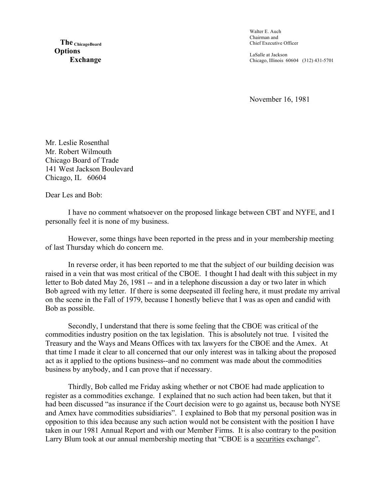**The ChicagoBoard Options Exchange** Walter E. Auch Chairman and Chief Executive Officer

LaSalle at Jackson Chicago, Illinois 60604 (312) 431-5701

November 16, 1981

Mr. Leslie Rosenthal Mr. Robert Wilmouth Chicago Board of Trade 141 West Jackson Boulevard Chicago, IL 60604

Dear Les and Bob:

I have no comment whatsoever on the proposed linkage between CBT and NYFE, and I personally feel it is none of my business.

However, some things have been reported in the press and in your membership meeting of last Thursday which do concern me.

In reverse order, it has been reported to me that the subject of our building decision was raised in a vein that was most critical of the CBOE. I thought I had dealt with this subject in my letter to Bob dated May 26, 1981 -- and in a telephone discussion a day or two later in which Bob agreed with my letter. If there is some deepseated ill feeling here, it must predate my arrival on the scene in the Fall of 1979, because I honestly believe that I was as open and candid with Bob as possible.

Secondly, I understand that there is some feeling that the CBOE was critical of the commodities industry position on the tax legislation. This is absolutely not true. I visited the Treasury and the Ways and Means Offices with tax lawyers for the CBOE and the Amex. At that time I made it clear to all concerned that our only interest was in talking about the proposed act as it applied to the options business--and no comment was made about the commodities business by anybody, and I can prove that if necessary.

Thirdly, Bob called me Friday asking whether or not CBOE had made application to register as a commodities exchange. I explained that no such action had been taken, but that it had been discussed "as insurance if the Court decision were to go against us, because both NYSE and Amex have commodities subsidiaries". I explained to Bob that my personal position was in opposition to this idea because any such action would not be consistent with the position I have taken in our 1981 Annual Report and with our Member Firms. It is also contrary to the position Larry Blum took at our annual membership meeting that "CBOE is a securities exchange".